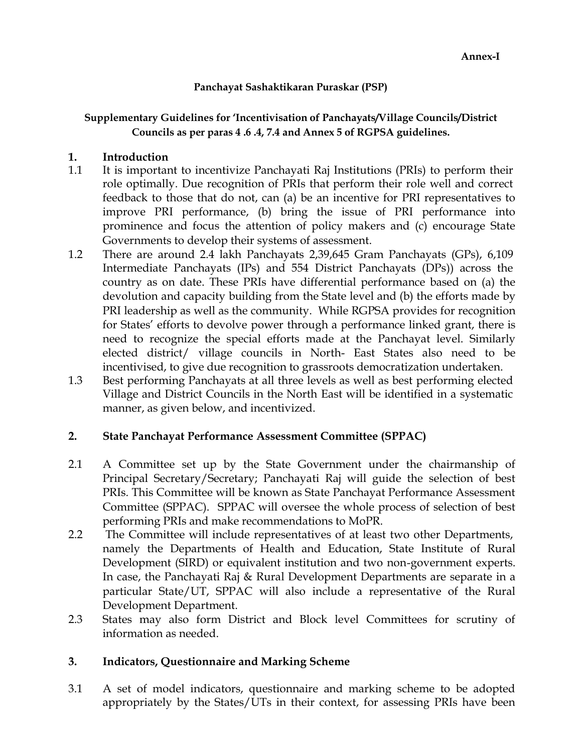## **Panchayat Sashaktikaran Puraskar (PSP)**

# **Supplementary Guidelines for 'Incentivisation of Panchayats/Village Councils/District Councils as per paras 4 .6 .4, 7.4 and Annex 5 of RGPSA guidelines.**

### **1. Introduction**

- 1.1 It is important to incentivize Panchayati Raj Institutions (PRIs) to perform their role optimally. Due recognition of PRIs that perform their role well and correct feedback to those that do not, can (a) be an incentive for PRI representatives to improve PRI performance, (b) bring the issue of PRI performance into prominence and focus the attention of policy makers and (c) encourage State Governments to develop their systems of assessment.
- 1.2 There are around 2.4 lakh Panchayats 2,39,645 Gram Panchayats (GPs), 6,109 Intermediate Panchayats (IPs) and 554 District Panchayats (DPs)) across the country as on date. These PRIs have differential performance based on (a) the devolution and capacity building from the State level and (b) the efforts made by PRI leadership as well as the community. While RGPSA provides for recognition for States' efforts to devolve power through a performance linked grant, there is need to recognize the special efforts made at the Panchayat level. Similarly elected district/ village councils in North- East States also need to be incentivised, to give due recognition to grassroots democratization undertaken.
- 1.3 Best performing Panchayats at all three levels as well as best performing elected Village and District Councils in the North East will be identified in a systematic manner, as given below, and incentivized.

# **2. State Panchayat Performance Assessment Committee (SPPAC)**

- 2.1 A Committee set up by the State Government under the chairmanship of Principal Secretary/Secretary; Panchayati Raj will guide the selection of best PRIs. This Committee will be known as State Panchayat Performance Assessment Committee (SPPAC). SPPAC will oversee the whole process of selection of best performing PRIs and make recommendations to MoPR.
- 2.2 The Committee will include representatives of at least two other Departments, namely the Departments of Health and Education, State Institute of Rural Development (SIRD) or equivalent institution and two non-government experts. In case, the Panchayati Raj & Rural Development Departments are separate in a particular State/UT, SPPAC will also include a representative of the Rural Development Department.
- 2.3 States may also form District and Block level Committees for scrutiny of information as needed.

# **3. Indicators, Questionnaire and Marking Scheme**

3.1 A set of model indicators, questionnaire and marking scheme to be adopted appropriately by the States/UTs in their context, for assessing PRIs have been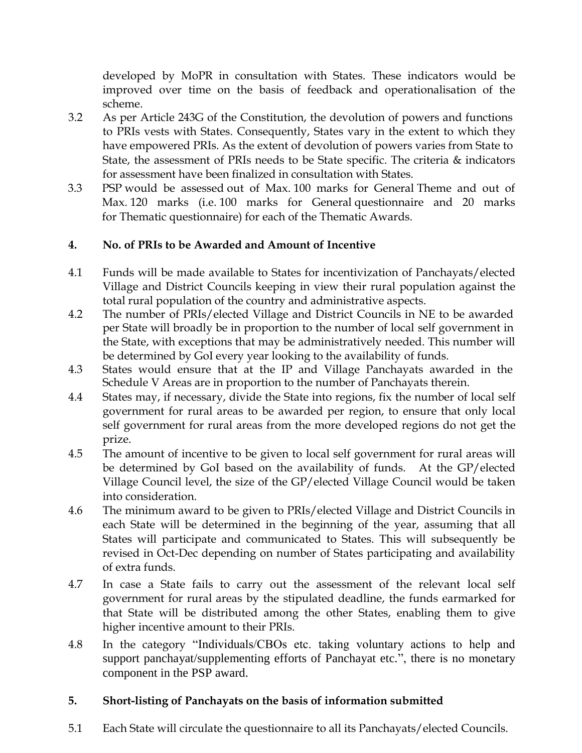developed by MoPR in consultation with States. These indicators would be improved over time on the basis of feedback and operationalisation of the scheme.

- 3.2 As per Article 243G of the Constitution, the devolution of powers and functions to PRIs vests with States. Consequently, States vary in the extent to which they have empowered PRIs. As the extent of devolution of powers varies from State to State, the assessment of PRIs needs to be State specific. The criteria  $\&$  indicators for assessment have been finalized in consultation with States.
- 3.3 PSP would be assessed out of Max. 100 marks for General Theme and out of Max. 120 marks (i.e. 100 marks for General questionnaire and 20 marks for Thematic questionnaire) for each of the Thematic Awards.

# **4. No. of PRIs to be Awarded and Amount of Incentive**

- 4.1 Funds will be made available to States for incentivization of Panchayats/elected Village and District Councils keeping in view their rural population against the total rural population of the country and administrative aspects.
- 4.2 The number of PRIs/elected Village and District Councils in NE to be awarded per State will broadly be in proportion to the number of local self government in the State, with exceptions that may be administratively needed. This number will be determined by GoI every year looking to the availability of funds.
- 4.3 States would ensure that at the IP and Village Panchayats awarded in the Schedule V Areas are in proportion to the number of Panchayats therein.
- 4.4 States may, if necessary, divide the State into regions, fix the number of local self government for rural areas to be awarded per region, to ensure that only local self government for rural areas from the more developed regions do not get the prize.
- 4.5 The amount of incentive to be given to local self government for rural areas will be determined by GoI based on the availability of funds. At the GP/elected Village Council level, the size of the GP/elected Village Council would be taken into consideration.
- 4.6 The minimum award to be given to PRIs/elected Village and District Councils in each State will be determined in the beginning of the year, assuming that all States will participate and communicated to States. This will subsequently be revised in Oct-Dec depending on number of States participating and availability of extra funds.
- 4.7 In case a State fails to carry out the assessment of the relevant local self government for rural areas by the stipulated deadline, the funds earmarked for that State will be distributed among the other States, enabling them to give higher incentive amount to their PRIs.
- 4.8 In the category "Individuals/CBOs etc. taking voluntary actions to help and support panchayat/supplementing efforts of Panchayat etc.", there is no monetary component in the PSP award.

# **5. Short-listing of Panchayats on the basis of information submitted**

5.1 Each State will circulate the questionnaire to all its Panchayats/elected Councils.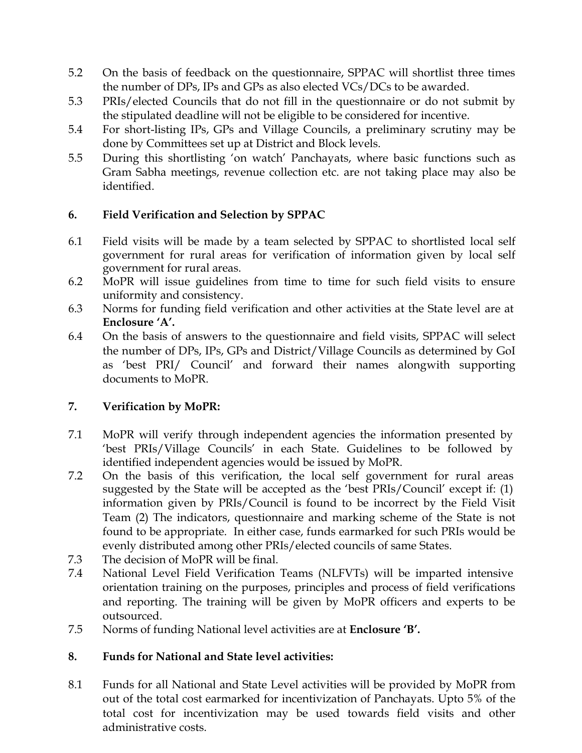- 5.2 On the basis of feedback on the questionnaire, SPPAC will shortlist three times the number of DPs, IPs and GPs as also elected VCs/DCs to be awarded.
- 5.3 PRIs/elected Councils that do not fill in the questionnaire or do not submit by the stipulated deadline will not be eligible to be considered for incentive.
- 5.4 For short-listing IPs, GPs and Village Councils, a preliminary scrutiny may be done by Committees set up at District and Block levels.
- 5.5 During this shortlisting 'on watch' Panchayats, where basic functions such as Gram Sabha meetings, revenue collection etc. are not taking place may also be identified.

# **6. Field Verification and Selection by SPPAC**

- 6.1 Field visits will be made by a team selected by SPPAC to shortlisted local self government for rural areas for verification of information given by local self government for rural areas.
- 6.2 MoPR will issue guidelines from time to time for such field visits to ensure uniformity and consistency.
- 6.3 Norms for funding field verification and other activities at the State level are at **Enclosure 'A'.**
- 6.4 On the basis of answers to the questionnaire and field visits, SPPAC will select the number of DPs, IPs, GPs and District/Village Councils as determined by GoI as 'best PRI/ Council' and forward their names alongwith supporting documents to MoPR.

# **7. Verification by MoPR:**

- 7.1 MoPR will verify through independent agencies the information presented by 'best PRIs/Village Councils' in each State. Guidelines to be followed by identified independent agencies would be issued by MoPR.
- 7.2 On the basis of this verification, the local self government for rural areas suggested by the State will be accepted as the 'best PRIs/Council' except if: (1) information given by PRIs/Council is found to be incorrect by the Field Visit Team (2) The indicators, questionnaire and marking scheme of the State is not found to be appropriate. In either case, funds earmarked for such PRIs would be evenly distributed among other PRIs/elected councils of same States.
- 7.3 The decision of MoPR will be final.
- 7.4 National Level Field Verification Teams (NLFVTs) will be imparted intensive orientation training on the purposes, principles and process of field verifications and reporting. The training will be given by MoPR officers and experts to be outsourced.
- 7.5 Norms of funding National level activities are at **Enclosure 'B'.**

# **8. Funds for National and State level activities:**

8.1 Funds for all National and State Level activities will be provided by MoPR from out of the total cost earmarked for incentivization of Panchayats. Upto 5% of the total cost for incentivization may be used towards field visits and other administrative costs.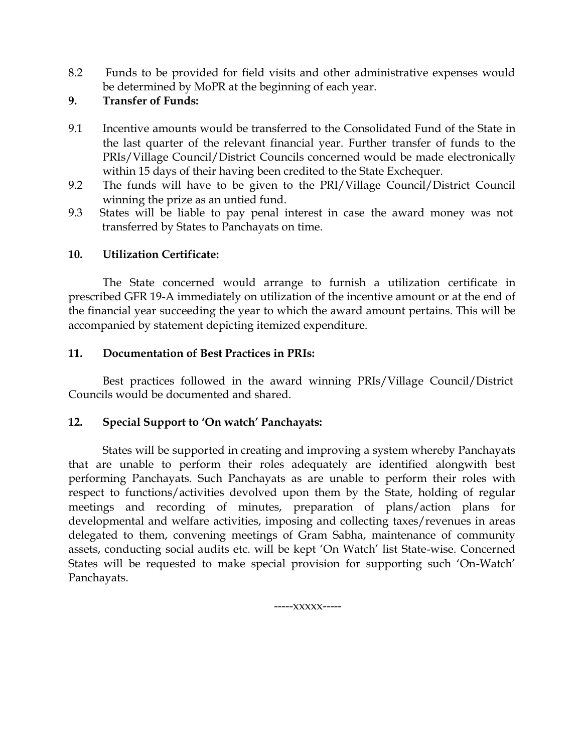- 8.2 Funds to be provided for field visits and other administrative expenses would be determined by MoPR at the beginning of each year.
- **9. Transfer of Funds:**
- 9.1 Incentive amounts would be transferred to the Consolidated Fund of the State in the last quarter of the relevant financial year. Further transfer of funds to the PRIs/Village Council/District Councils concerned would be made electronically within 15 days of their having been credited to the State Exchequer.
- 9.2 The funds will have to be given to the PRI/Village Council/District Council winning the prize as an untied fund.
- 9.3 States will be liable to pay penal interest in case the award money was not transferred by States to Panchayats on time.

### **10. Utilization Certificate:**

The State concerned would arrange to furnish a utilization certificate in prescribed GFR 19-A immediately on utilization of the incentive amount or at the end of the financial year succeeding the year to which the award amount pertains. This will be accompanied by statement depicting itemized expenditure.

### **11. Documentation of Best Practices in PRIs:**

Best practices followed in the award winning PRIs/Village Council/District Councils would be documented and shared.

### **12. Special Support to 'On watch' Panchayats:**

States will be supported in creating and improving a system whereby Panchayats that are unable to perform their roles adequately are identified alongwith best performing Panchayats. Such Panchayats as are unable to perform their roles with respect to functions/activities devolved upon them by the State, holding of regular meetings and recording of minutes, preparation of plans/action plans for developmental and welfare activities, imposing and collecting taxes/revenues in areas delegated to them, convening meetings of Gram Sabha, maintenance of community assets, conducting social audits etc. will be kept 'On Watch' list State-wise. Concerned States will be requested to make special provision for supporting such 'On-Watch' Panchayats.

-----xxxxx-----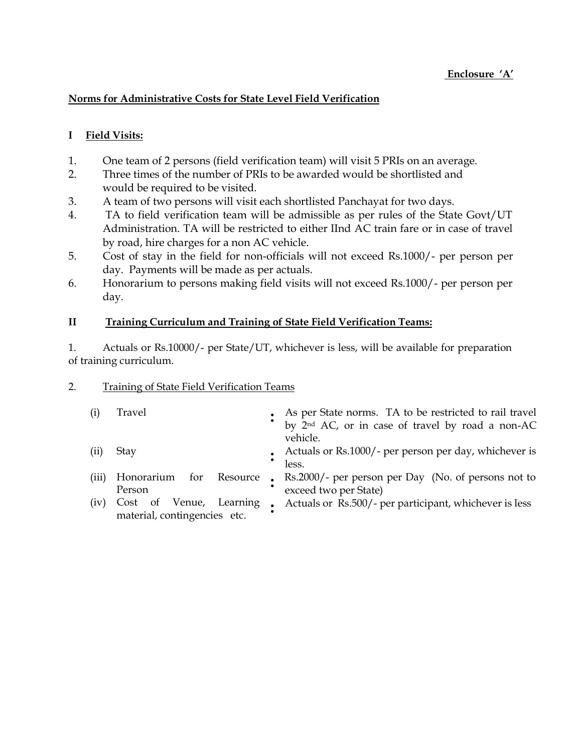#### **Norms for Administrative Costs for State Level Field Verification**

#### **I Field Visits:**

- 1. One team of 2 persons (field verification team) will visit 5 PRIs on an average.
- 2. Three times of the number of PRIs to be awarded would be shortlisted and would be required to be visited.
- 3. A team of two persons will visit each shortlisted Panchayat for two days.
- 4. TA to field verification team will be admissible as per rules of the State Govt/UT Administration. TA will be restricted to either IInd AC train fare or in case of travel by road, hire charges for a non AC vehicle.
- 5. Cost of stay in the field for non-officials will not exceed Rs.1000/- per person per day. Payments will be made as per actuals.
- 6. Honorarium to persons making field visits will not exceed Rs.1000/- per person per day.

#### **II Training Curriculum and Training of State Field Verification Teams:**

1. Actuals or Rs.10000/- per State/UT, whichever is less, will be available for preparation of training curriculum.

#### 2. Training of State Field Verification Teams

| (i)   | Travel                       | • As per State norms. TA to be restricted to rail travel<br>by 2 <sup>nd</sup> AC, or in case of travel by road a non-AC<br>vehicle. |
|-------|------------------------------|--------------------------------------------------------------------------------------------------------------------------------------|
| (ii)  | Stay                         | • Actuals or Rs.1000/- per person per day, whichever is<br>less.                                                                     |
| (iii) | Person                       | Honorarium for Resource • Rs.2000/- per person per Day (No. of persons not to<br>exceed two per State)                               |
| (iv)  | material, contingencies etc. | Cost of Venue, Learning • Actuals or Rs.500/- per participant, whichever is less                                                     |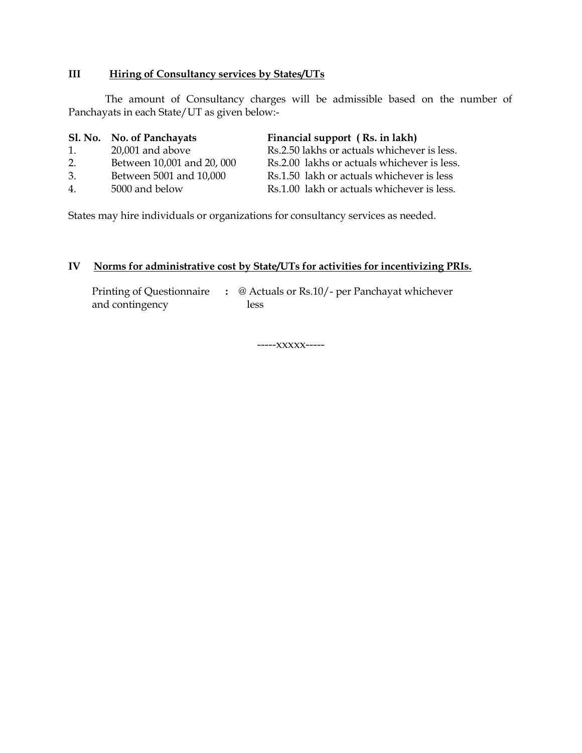#### **III Hiring of Consultancy services by States/UTs**

The amount of Consultancy charges will be admissible based on the number of Panchayats in each State/UT as given below:-

|             | Sl. No. No. of Panchayats  | Financial support (Rs. in lakh)             |
|-------------|----------------------------|---------------------------------------------|
| 1.          | $20,001$ and above         | Rs.2.50 lakhs or actuals whichever is less. |
| 2.          | Between 10,001 and 20, 000 | Rs.2.00 lakhs or actuals whichever is less. |
| 3.          | Between 5001 and 10,000    | Rs.1.50 lakh or actuals whichever is less   |
| $4_{\cdot}$ | 5000 and below             | Rs.1.00 lakh or actuals whichever is less.  |

States may hire individuals or organizations for consultancy services as needed.

#### **IV Norms for administrative cost by State/UTs for activities for incentivizing PRIs.**

Printing of Questionnaire **:** @ Actuals or Rs.10/- per Panchayat whichever and contingency less

-----xxxxx-----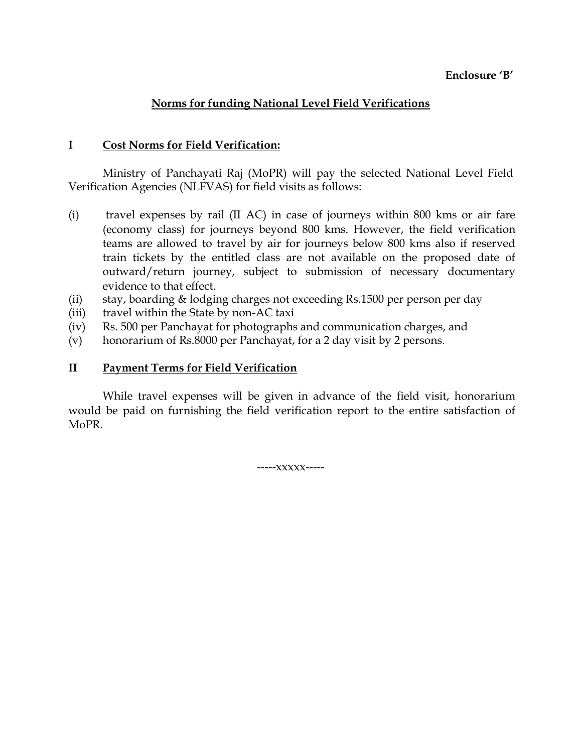### **Enclosure 'B'**

## **Norms for funding National Level Field Verifications**

#### **I Cost Norms for Field Verification:**

Ministry of Panchayati Raj (MoPR) will pay the selected National Level Field Verification Agencies (NLFVAS) for field visits as follows:

- (i) travel expenses by rail (II AC) in case of journeys within 800 kms or air fare (economy class) for journeys beyond 800 kms. However, the field verification teams are allowed to travel by air for journeys below 800 kms also if reserved train tickets by the entitled class are not available on the proposed date of outward/return journey, subject to submission of necessary documentary evidence to that effect.
- (ii) stay, boarding & lodging charges not exceeding Rs.1500 per person per day
- (iii) travel within the State by non-AC taxi
- (iv) Rs. 500 per Panchayat for photographs and communication charges, and
- (v) honorarium of Rs.8000 per Panchayat, for a 2 day visit by 2 persons.

### **II Payment Terms for Field Verification**

While travel expenses will be given in advance of the field visit, honorarium would be paid on furnishing the field verification report to the entire satisfaction of MoPR.

-----xxxxx-----